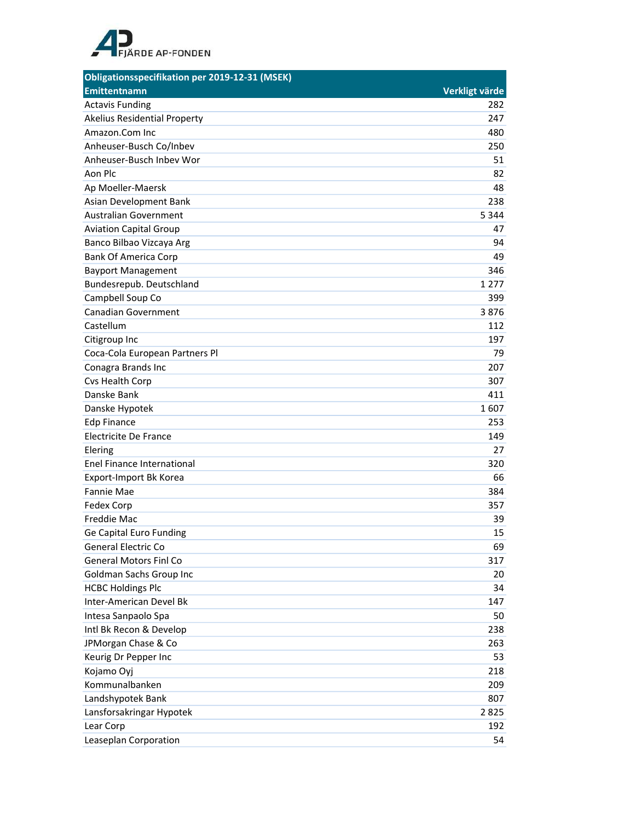

| Obligationsspecifikation per 2019-12-31 (MSEK) |                |
|------------------------------------------------|----------------|
| <b>Emittentnamn</b>                            | Verkligt värde |
| <b>Actavis Funding</b>                         | 282            |
| <b>Akelius Residential Property</b>            | 247            |
| Amazon.Com Inc                                 | 480            |
| Anheuser-Busch Co/Inbev                        | 250            |
| Anheuser-Busch Inbey Wor                       | 51             |
| Aon Plc                                        | 82             |
| Ap Moeller-Maersk                              | 48             |
| Asian Development Bank                         | 238            |
| <b>Australian Government</b>                   | 5 3 4 4        |
| <b>Aviation Capital Group</b>                  | 47             |
| Banco Bilbao Vizcaya Arg                       | 94             |
| <b>Bank Of America Corp</b>                    | 49             |
| <b>Bayport Management</b>                      | 346            |
| Bundesrepub. Deutschland                       | 1 2 7 7        |
| Campbell Soup Co                               | 399            |
| <b>Canadian Government</b>                     | 3876           |
| Castellum                                      | 112            |
| Citigroup Inc                                  | 197            |
| Coca-Cola European Partners Pl                 | 79             |
| Conagra Brands Inc                             | 207            |
| Cvs Health Corp                                | 307            |
| Danske Bank                                    | 411            |
| Danske Hypotek                                 | 1607           |
| <b>Edp Finance</b>                             | 253            |
| Electricite De France                          | 149            |
| Elering                                        | 27             |
| Enel Finance International                     | 320            |
| Export-Import Bk Korea                         | 66             |
| <b>Fannie Mae</b>                              | 384            |
| Fedex Corp                                     | 357            |
| Freddie Mac                                    | 39             |
| Ge Capital Euro Funding                        | 15             |
| <b>General Electric Co</b>                     | 69             |
| <b>General Motors Finl Co</b>                  | 317            |
| Goldman Sachs Group Inc                        | 20             |
| <b>HCBC Holdings Plc</b>                       | 34             |
| Inter-American Devel Bk                        | 147            |
| Intesa Sanpaolo Spa                            | 50             |
| Intl Bk Recon & Develop                        | 238            |
| JPMorgan Chase & Co                            | 263            |
| Keurig Dr Pepper Inc                           | 53             |
| Kojamo Oyj                                     | 218            |
| Kommunalbanken                                 | 209            |
| Landshypotek Bank                              | 807            |
| Lansforsakringar Hypotek                       | 2825           |
| Lear Corp                                      | 192            |
| Leaseplan Corporation                          | 54             |